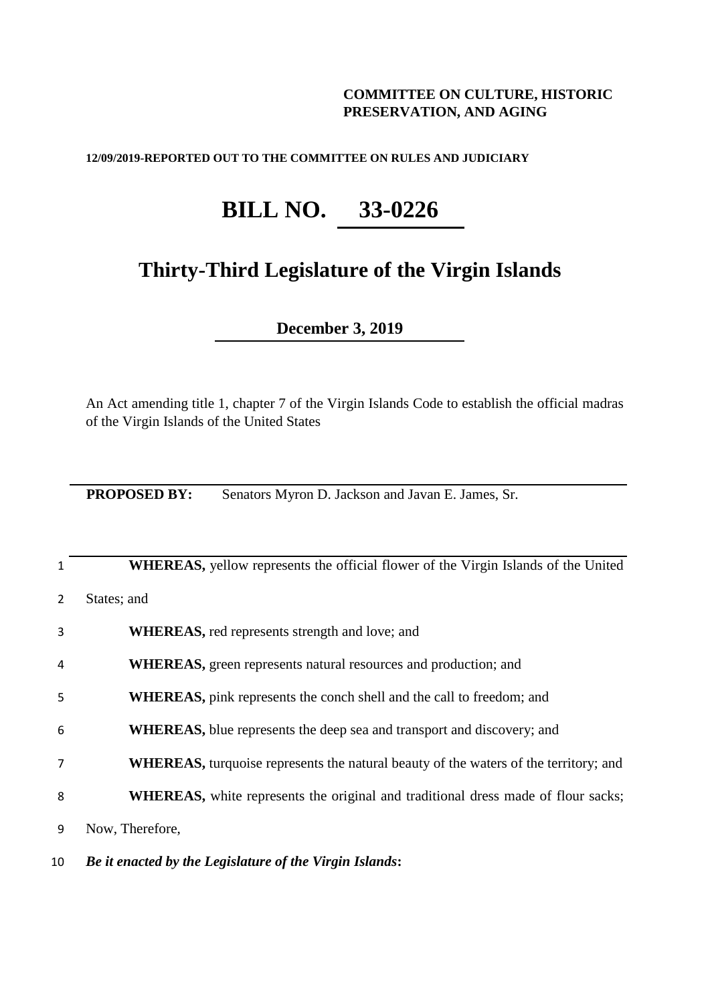# **COMMITTEE ON CULTURE, HISTORIC PRESERVATION, AND AGING**

### **12/09/2019-REPORTED OUT TO THE COMMITTEE ON RULES AND JUDICIARY**

# **BILL NO. 33-0226**

# **Thirty-Third Legislature of the Virgin Islands**

**December 3, 2019**

An Act amending title 1, chapter 7 of the Virgin Islands Code to establish the official madras of the Virgin Islands of the United States

**PROPOSED BY:** Senators Myron D. Jackson and Javan E. James, Sr.

| 1              | <b>WHEREAS,</b> yellow represents the official flower of the Virgin Islands of the United    |
|----------------|----------------------------------------------------------------------------------------------|
| $\overline{2}$ | States; and                                                                                  |
| 3              | <b>WHEREAS</b> , red represents strength and love; and                                       |
| 4              | <b>WHEREAS</b> , green represents natural resources and production; and                      |
| 5              | <b>WHEREAS</b> , pink represents the conch shell and the call to freedom; and                |
| 6              | <b>WHEREAS</b> , blue represents the deep sea and transport and discovery; and               |
| $\overline{7}$ | <b>WHEREAS</b> , turquoise represents the natural beauty of the waters of the territory; and |
| 8              | <b>WHEREAS</b> , white represents the original and traditional dress made of flour sacks;    |
| 9              | Now, Therefore,                                                                              |

## 10 *Be it enacted by the Legislature of the Virgin Islands***:**